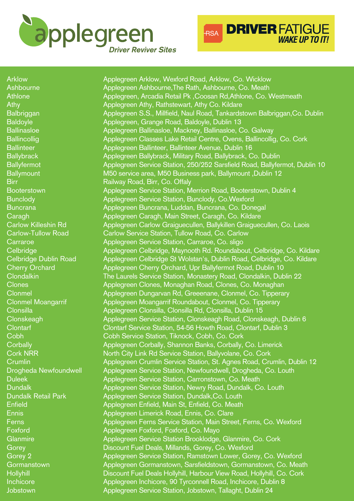

**DRIVER FATIGUE**<br>WAKE UP TO IT! **RSA** 

| <b>Arklow</b>              | Applegreen Arklow, Wexford Road, Arklow, Co. Wicklow                       |
|----------------------------|----------------------------------------------------------------------------|
| Ashbourne                  | Applegreen Ashbourne, The Rath, Ashbourne, Co. Meath                       |
| <b>Athlone</b>             | Applegreen, Arcadia Retail Pk, Coosan Rd, Athlone, Co. Westmeath           |
| Athy                       | Applegreen Athy, Rathstewart, Athy Co. Kildare                             |
| <b>Balbriggan</b>          | Applegreen S.S., Millfield, Naul Road, Tankardstown Balbriggan, Co. Dublin |
| <b>Baldoyle</b>            | Applegreen, Grange Road, Baldoyle, Dublin 13                               |
| <b>Ballinasloe</b>         | Applegreen Ballinasloe, Mackney, Ballinasloe, Co. Galway                   |
| <b>Ballincollig</b>        | Applegreen Classes Lake Retail Centre, Ovens, Ballincollig, Co. Cork       |
| <b>Ballinteer</b>          | Applegreen Ballinteer, Ballinteer Avenue, Dublin 16                        |
| <b>Ballybrack</b>          | Applegreen Ballybrack, Military Road, Ballybrack, Co. Dublin               |
| <b>Ballyfermot</b>         | Applegreen Service Station, 250/252 Sarsfield Road, Ballyfermot, Dublin 10 |
| <b>Ballymount</b>          | M50 service area, M50 Business park, Ballymount, Dublin 12                 |
| <b>Birr</b>                | Railway Road, Birr, Co. Offaly                                             |
| <b>Booterstown</b>         | Applegreen Service Station, Merrion Road, Booterstown, Dublin 4            |
| <b>Bunclody</b>            | Applegreen Service Station, Bunclody, Co. Wexford                          |
| <b>Buncrana</b>            | Applegreen Buncrana, Luddan, Buncrana, Co. Donegal                         |
| Caragh                     | Applegreen Caragh, Main Street, Caragh, Co. Kildare                        |
| <b>Carlow Killeshin Rd</b> | Applegreen Carlow Graiguecullen, Ballykillen Graiguecullen, Co. Laois      |
| <b>Carlow-Tullow Road</b>  | Carlow Service Station, Tullow Road, Co. Carlow                            |
| Carraroe                   | Applegreen Service Station, Carraroe, Co. sligo                            |
| Celbridge                  | Applegreen Celbridge, Maynooth Rd. Roundabout, Celbridge, Co. Kildare      |
| Celbridge Dublin Road      | Applegreen Celbridge St Wolstan's, Dublin Road, Celbridge, Co. Kildare     |
| <b>Cherry Orchard</b>      | Applegreen Cherry Orchard, Upr Ballyfermot Road, Dublin 10                 |
| <b>Clondalkin</b>          | The Laurels Service Station, Monastery Road, Clondalkin, Dublin 22         |
| <b>Clones</b>              | Applegreen Clones, Monaghan Road, Clones, Co. Monaghan                     |
| <b>Clonmel</b>             | Applegreen Dungarvan Rd, Greeenane, Clonmel, Co. Tipperary                 |
| <b>Clonmel Moangarrif</b>  | Applegreen Moangarrif Roundabout, Clonmel, Co. Tipperary                   |
| Clonsilla                  | Applegreen Clonsilla, Clonsilla Rd, Clonsilla, Dublin 15                   |
| Clonskeagh                 | Applegreen Service Station, Clonskeagh Road, Clonskeagh, Dublin 6          |
| <b>Clontarf</b>            | Clontarf Service Station, 54-56 Howth Road, Clontarf, Dublin 3             |
| Cobh                       | Cobh Service Station, Tiknock, Cobh, Co. Cork                              |
| Corbally                   | Applegreen Corbally, Shannon Banks, Corbally, Co. Limerick                 |
| <b>Cork NRR</b>            | North City Link Rd Service Station, Ballyvolane, Co. Cork                  |
| Crumlin                    | Applegreen Crumlin Service Station, St. Agnes Road, Crumlin, Dublin 12     |
| Drogheda Newfoundwell      | Applegreen Service Station, Newfoundwell, Drogheda, Co. Louth              |
| <b>Duleek</b>              | Applegreen Service Station, Carronstown, Co. Meath                         |
| <b>Dundalk</b>             | Applegreen Service Station, Newry Road, Dundalk, Co. Louth                 |
| <b>Dundalk Retail Park</b> | Applegreen Service Station, Dundalk, Co. Louth                             |
| <b>Enfield</b>             | Applegreen Enfield, Main St, Enfield, Co. Meath                            |
| <b>Ennis</b>               | Applegreen Limerick Road, Ennis, Co. Clare                                 |
| Ferns                      | Applegreen Ferns Service Station, Main Street, Ferns, Co. Wexford          |
| Foxford                    | Applegreen Foxford, Foxford, Co. Mayo                                      |
| Glanmire                   | Applegreen Service Station Brooklodge, Glanmire, Co. Cork                  |
| Gorey                      | Discount Fuel Deals, Millands, Gorey, Co. Wexford                          |
| Gorey 2                    | Applegreen Service Station, Ramstown Lower, Gorey, Co. Wexford             |
| Gormanstown                | Applegreen Gormanstown, Sarsfieldstown, Gormanstown, Co. Meath             |
| Hollyhill                  | Discount Fuel Deals Hollyhill, Harbour View Road, Hollyhill, Co. Cork      |
| Inchicore                  | Applegreen Inchicore, 90 Tyrconnell Road, Inchicore, Dublin 8              |
| Jobstown                   | Applegreen Service Station, Jobstown, Tallaght, Dublin 24                  |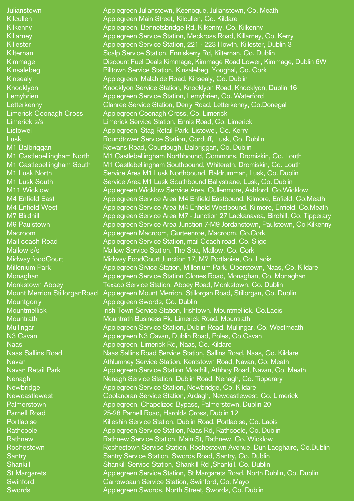**Julianstown** Kilcullen Kilkenny Killarney Killester Kilternan Kimmage Kinsalebeg **Kinsealy** Knocklyon **Lemybrien Letterkenny** Limerick Coonagh Cross Limerick s/s **Listowel** Lusk M1 Balbriggan M1 Castlebellingham North M1 Castlebellingham South M1 Lusk North M1 Lusk South M11 Wicklow M4 Enfield East M4 Enfield West M7 Birdhill M9 Paulstown Macroom Mail coach Road Mallow s/s **Midway foodCourt** Millenium Park Monaghan Monkstown Abbey Mount Merrion StillorganRoad **Mountgorry Mountmellick Mountrath Mullingar** N3 Cavan Naas Naas Sallins Road Navan Navan Retail Park **Nenagh Newbridge Newcastlewest Palmerstown** Parnell Road **Portlaoise** Rathcoole Rathnew Rochestown **Santry Shankill** St Margarets **Swinford Swords** 

Applegreen Julianstown, Keenogue, Julianstown, Co. Meath Applegreen Main Street, Kilcullen, Co. Kildare Applegreen, Bennetsbridge Rd, Kilkenny, Co. Kilkenny Applegreen Service Station, Meckross Road, Killarney, Co. Kerry Applegreen Service Station, 221 - 223 Howth, Killester, Dublin 3 Scalp Service Station, Enniskerry Rd, Kilternan, Co. Dublin Discount Fuel Deals Kimmage, Kimmage Road Lower, Kimmage, Dublin 6W Pilltown Service Station, Kinsalebeg, Youghal, Co. Cork Applegreen, Malahide Road, Kinsealy, Co. Dublin Knocklyon Service Station, Knocklyon Road, Knocklyon, Dublin 16 Applegreen Service Station, Lemybrien, Co. Waterford Clanree Service Station, Derry Road, Letterkenny, Co.Donegal Applegreen Coonagh Cross, Co. Limerick Limerick Service Station, Ennis Road, Co. Limerick Applegreen Stag Retail Park, Listowel, Co. Kerry Roundtower Service Station, Corduff, Lusk, Co. Dublin Rowans Road, Courtlough, Balbriggan, Co. Dublin M1 Castlebellingham Northbound, Commons, Dromiskin, Co. Louth M1 Castlebellingham Southbound, Whiterath, Dromiskin, Co. Louth Service Area M1 Lusk Northbound, Baldrumman, Lusk, Co. Dublin Service Area M1 Lusk Southbound Ballystrane, Lusk, Co. Dublin Applegreen Wicklow Service Area, Cullenmore, Ashford, Co.Wicklow Applegreen Service Area M4 Enfield Eastbound, Kilmore, Enfield, Co.Meath Applegreen Service Area M4 Enfield Westbound, Kilmore, Enfield, Co.Meath Applegreen Service Area M7 - Junction 27 Lackanavea, Birdhill, Co. Tipperary Applegreen Service Area Junction 7-M9 Jordanstown, Paulstown, Co Kilkenny Applegreen Macroom, Gurteenroe, Macroom, Co.Cork Applegreen Service Station, mail Coach road, Co. Sligo Mallow Service Station, The Spa, Mallow, Co. Cork Midway FoodCourt Junction 17, M7 Portlaoise, Co. Laois Applegreen Srvice Station, Millenium Park, Oberstown, Naas, Co. Kildare Applegreen Service Station Clones Road, Monaghan, Co. Monaghan Texaco Service Station, Abbey Road, Monkstown, Co. Dublin Applegreen Mount Merrion, Stillorgan Road, Stillorgan, Co. Dublin Applegreen Swords, Co. Dublin Irish Town Service Station, Irishtown, Mountmellick, Co.Laois Mountrath Business Pk, Limerick Road, Mountrath Applegreen Service Station, Dublin Road, Mullingar, Co. Westmeath Applegreen N3 Cavan, Dublin Road, Poles, Co.Cavan Applegreen, Limerick Rd, Naas, Co. Kildare Naas Sallins Road Service Station, Sallins Road, Naas, Co. Kildare Athlumney Service Station, Kentstown Road, Navan, Co. Meath Applegreen Service Station Moathill, Athboy Road, Navan, Co. Meath Nenagh Service Station, Dublin Road, Nenagh, Co. Tipperary Applegreen Service Station, Newbridge, Co. Kildare Coolanoran Service Station, Ardagh, Newcastlewest, Co. Limerick Applegreen, Chapelizod Bypass, Palmerstown, Dublin 20 25-28 Parnell Road, Harolds Cross, Dublin 12 Killeshin Service Station, Dublin Road, Portlaoise, Co. Laois Applegreen Service Station, Naas Rd, Rathcoole, Co. Dublin Rathnew Service Station, Main St, Rathnew, Co. Wicklow Rochestown Service Station, Rochestown Avenue, Dun Laoghaire, Co.Dublin Santry Service Station, Swords Road, Santry, Co. Dublin Shankill Service Station, Shankill Rd ,Shankill, Co. Dublin Applegreen Service Station, St Margarets Road, North Dublin, Co. Dublin Carrowbaun Service Station, Swinford, Co. Mayo Applegreen Swords, North Street, Swords, Co. Dublin